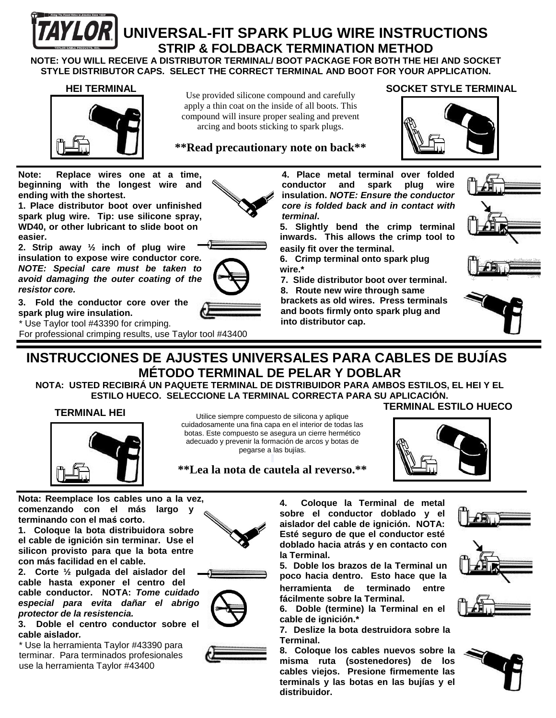

# **IYLOR** UNIVERSAL-FIT SPARK PLUG WIRE INSTRUCTIONS  **STRIP & FOLDBACK TERMINATION METHOD**

**NOTE: YOU WILL RECEIVE A DISTRIBUTOR TERMINAL/ BOOT PACKAGE FOR BOTH THE HEI AND SOCKET STYLE DISTRIBUTOR CAPS. SELECT THE CORRECT TERMINAL AND BOOT FOR YOUR APPLICATION.**

#### **HEI TERMINAL**



Use provided silicone compound and carefully apply a thin coat on the inside of all boots. This compound will insure proper sealing and prevent arcing and boots sticking to spark plugs.

#### **\*\*Read precautionary note on back\*\***

**Note: Replace wires one at a time, beginning with the longest wire and ending with the shortest.**

**1. Place distributor boot over unfinished spark plug wire. Tip: use silicone spray, WD40, or other lubricant to slide boot on easier.**

**2. Strip away ½ inch of plug wire insulation to expose wire conductor core.**  *NOTE: Special care must be taken to avoid damaging the outer coating of the resistor core.*

**3. Fold the conductor core over the spark plug wire insulation.**

\* Use Taylor tool #43390 for crimping.

For professional crimping results, use Taylor tool #43400

**4. Place metal terminal over folded** 

**inwards. This allows the crimp tool to** 

**6. Crimp terminal onto spark plug**

**7. Slide distributor boot over terminal.**

**8. Route new wire through same brackets as old wires. Press terminals and boots firmly onto spark plug and into distributor cap.**







# **INSTRUCCIONES DE AJUSTES UNIVERSALES PARA CABLES DE BUJÍAS MÉTODO TERMINAL DE PELAR Y DOBLAR**

**NOTA: USTED RECIBIRÁ UN PAQUETE TERMINAL DE DISTRIBUIDOR PARA AMBOS ESTILOS, EL HEI Y EL ESTILO HUECO. SELECCIONE LA TERMINAL CORRECTA PARA SU APLICACIÓN.**

#### **TERMINAL HEI**



Utilice siempre compuesto de silicona y aplique cuidadosamente una fina capa en el interior de todas las botas. Este compuesto se asegura un cierre hermético adecuado y prevenir la formación de arcos y botas de pegarse a las bujías.

### **TERMINAL ESTILO HUECO**

 **SOCKET STYLE TERMINAL**



**\*\*Lea la nota de cautela al reverso.\*\***

**Nota: Reemplace los cables uno a la vez, comenzando con el más largo y terminando con el maś corto.**

**1. Coloque la bota distribuidora sobre el cable de ignición sin terminar. Use el silicon provisto para que la bota entre con más facilidad en el cable.**



**cable hasta exponer el centro del cable conductor. NOTA:** *Tome cuidado especial para evita dañar el abrigo protector de la resistencia.*

**3. Doble el centro conductor sobre el cable aislador***.*

\* Use la herramienta Taylor #43390 para terminar. Para terminados profesionales use la herramienta Taylor #43400







**sobre el conductor doblado y el aislador del cable de ignición. NOTA: Esté seguro de que el conductor esté doblado hacia atrás y en contacto con la Terminal. 5. Doble los brazos de la Terminal un** 

**4. Coloque la Terminal de metal** 

**poco hacia dentro. Esto hace que la herramienta de terminado entre fácilmente sobre la Terminal.**

**6. Doble (termine) la Terminal en el cable de ignición.\***

**7. Deslize la bota destruidora sobre la Terminal.**

**8. Coloque los cables nuevos sobre la misma ruta (sostenedores) de los cables viejos. Presione firmemente las terminals y las botas en las bujías y el distribuidor.**











**conductor and spark plug wire insulation.** *NOTE: Ensure the conductor core is folded back and in contact with terminal***. 5. Slightly bend the crimp terminal** 

**easily fit over the terminal.**

**wire.\***